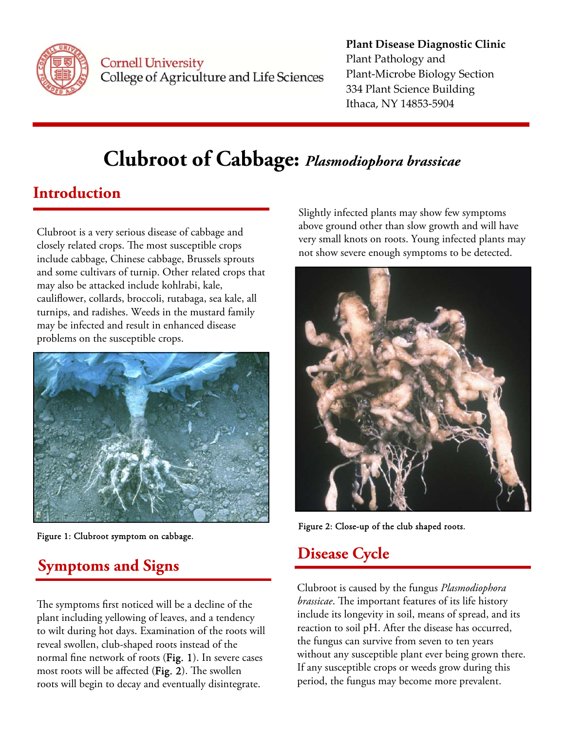

**Cornell University** College of Agriculture and Life Sciences

### **Plant Disease Diagnostic Clinic** Plant Pathology and Plant‐Microbe Biology Section 334 Plant Science Building Ithaca, NY 14853‐5904

# **Clubroot of Cabbage:** *Plasmodiophora brassicae*

## **Introduction**

Clubroot is a very serious disease of cabbage and closely related crops. The most susceptible crops include cabbage, Chinese cabbage, Brussels sprouts and some cultivars of turnip. Other related crops that may also be attacked include kohlrabi, kale, cauliflower, collards, broccoli, rutabaga, sea kale, all turnips, and radishes. Weeds in the mustard family may be infected and result in enhanced disease problems on the susceptible crops.



Figure 1: Clubroot symptom on cabbage.

## **Symptoms and Signs**

The symptoms first noticed will be a decline of the plant including yellowing of leaves, and a tendency to wilt during hot days. Examination of the roots will reveal swollen, club-shaped roots instead of the normal fine network of roots (Fig. 1). In severe cases most roots will be affected (Fig. 2). The swollen roots will begin to decay and eventually disintegrate.

Slightly infected plants may show few symptoms above ground other than slow growth and will have very small knots on roots. Young infected plants may not show severe enough symptoms to be detected.



Figure 2: Close-up of the club shaped roots.

## **Disease Cycle**

Clubroot is caused by the fungus *Plasmodiophora brassicae*. The important features of its life history include its longevity in soil, means of spread, and its reaction to soil pH. After the disease has occurred, the fungus can survive from seven to ten years without any susceptible plant ever being grown there. If any susceptible crops or weeds grow during this period, the fungus may become more prevalent.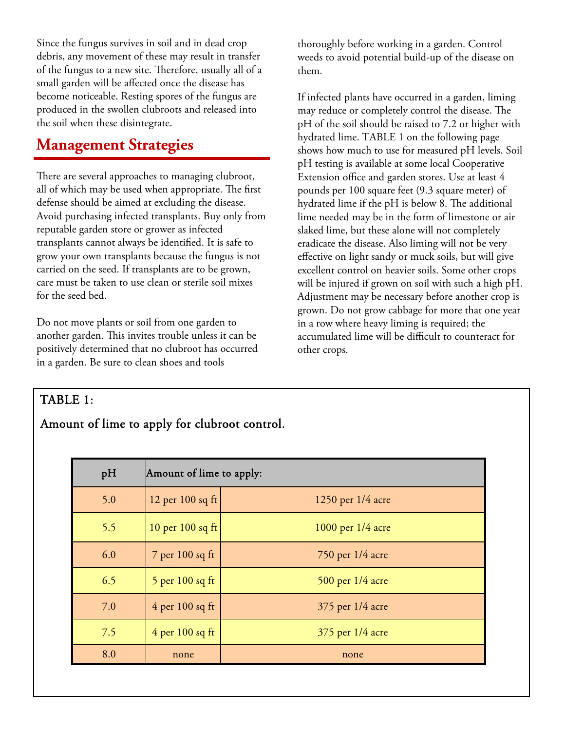Since the fungus survives in soil and in dead crop debris, any movement of these may result in transfer of the fungus to a new site. Therefore, usually all of a small garden will be affected once the disease has become noticeable. Resting spores of the fungus are produced in the swollen clubroots and released into the soil when these disintegrate.

### **Management Strategies**

There are several approaches to managing clubroot, all of which may be used when appropriate. The first defense should be aimed at excluding the disease. Avoid purchasing infected transplants. Buy only from reputable garden store or grower as infected transplants cannot always be identified. It is safe to grow your own transplants because the fungus is not carried on the seed. If transplants are to be grown, care must be taken to use clean or sterile soil mixes for the seed bed.

Do not move plants or soil from one garden to another garden. This invites trouble unless it can be positively determined that no clubroot has occurred in a garden. Be sure to clean shoes and tools

thoroughly before working in a garden. Control weeds to avoid potential build-up of the disease on them.

If infected plants have occurred in a garden, liming may reduce or completely control the disease. The pH of the soil should be raised to 7.2 or higher with hydrated lime. TABLE 1 on the following page shows how much to use for measured pH levels. Soil pH testing is available at some local Cooperative Extension office and garden stores. Use at least 4 pounds per 100 square feet (9.3 square meter) of hydrated lime if the pH is below 8. The additional lime needed may be in the form of limestone or air slaked lime, but these alone will not completely eradicate the disease. Also liming will not be very effective on light sandy or muck soils, but will give excellent control on heavier soils. Some other crops will be injured if grown on soil with such a high pH. Adjustment may be necessary before another crop is grown. Do not grow cabbage for more that one year in a row where heavy liming is required; the accumulated lime will be difficult to counteract for other crops.

### TABLE 1:

### Amount of lime to apply for clubroot control.

| pH  | Amount of lime to apply: |                       |
|-----|--------------------------|-----------------------|
| 5.0 | 12 per $100$ sq ft       | 1250 per 1/4 acre     |
| 5.5 | 10 per $100$ sq ft       | $1000$ per $1/4$ acre |
| 6.0 | 7 per 100 sq ft          | $750$ per $1/4$ acre  |
| 6.5 | 5 per $100$ sq ft        | 500 per 1/4 acre      |
| 7.0 | $4$ per 100 sq ft        | 375 per 1/4 acre      |
| 7.5 | $4$ per 100 sq ft        | 375 per 1/4 acre      |
| 8.0 | none                     | none                  |